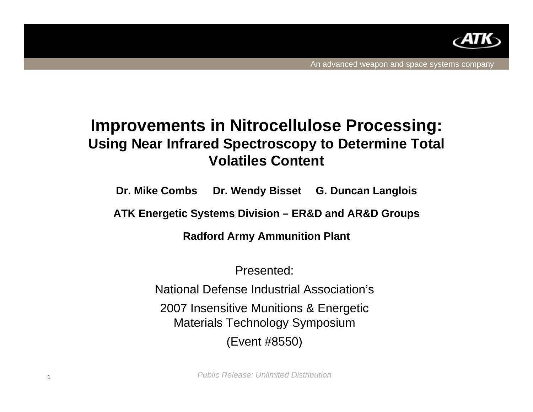

## **Improvements in Nitrocellulose Processing: Using Near Infrared Spectroscopy to Determine Total Volatiles Content**

**Dr. Mike Combs Dr. Wendy Bisset G. Duncan Langlois**

**ATK Energetic Systems Division – ER&D and AR&D Groups**

**Radford Army Ammunition Plant**

Presented:

National Defense Industrial Association's

2007 Insensitive Munitions & Energetic Materials Technology Symposium

(Event #8550)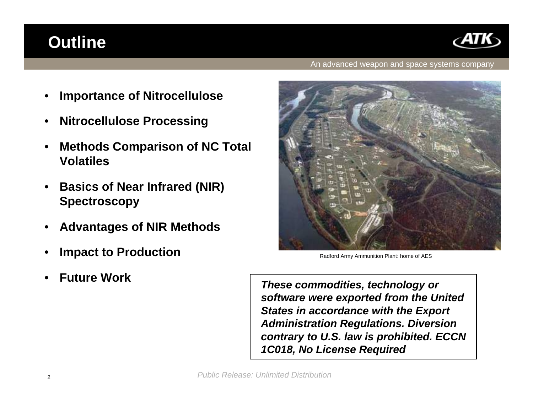# **Outline**



### An advanced weapon and space systems company

- **Importance of Nitrocellulose**
- **Nitrocellulose Processing**
- **Methods Comparison of NC Total Volatiles**
- **Basics of Near Infrared (NIR) Spectroscopy**
- **Advantages of NIR Methods**
- **Impact to Production**
- **Future Work**



Radford Army Ammunition Plant: home of AES

 *These commodities, technology or software were exported from the United States in accordance with the Export Administration Regulations. Diversion contrary to U.S. law is prohibited. ECCN 1C018, No License Required*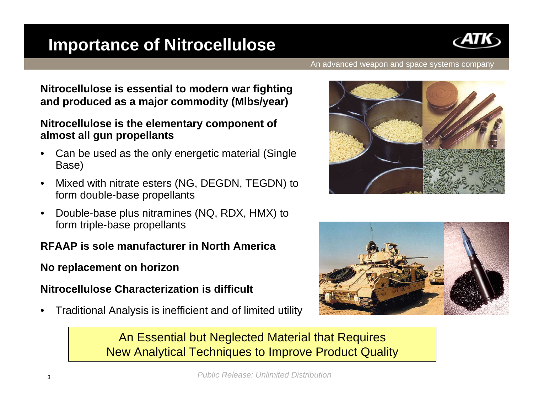# **Importance of Nitrocellulose**



#### An advanced weapon and space systems company

**Nitrocellulose is essential to modern war fighting and produced as a major commodity (Mlbs/year)**

### **Nitrocellulose is the elementary component of almost all gun propellants**

- Can be used as the only energetic material (Single Base)
- Mixed with nitrate esters (NG, DEGDN, TEGDN) to form double-base propellants
- Double-base plus nitramines (NQ, RDX, HMX) to form triple-base propellants

### **RFAAP is sole manufacturer in North America**

**No replacement on horizon**

### **Nitrocellulose Characterization is difficult**

• Traditional Analysis is inefficient and of limited utility





An Essential but Neglected Material that Requires New Analytical Techniques to Improve Product Quality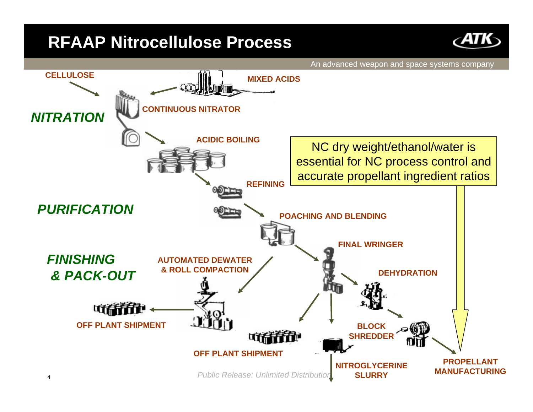## **RFAAP Nitrocellulose Process**



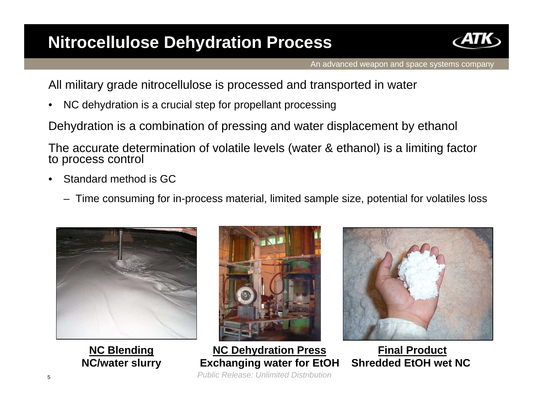# **Nitrocellulose Dehydration Process**



All military grade nitrocellulose is processed and transported in water

NC dehydration is a crucial step for propellant processing

Dehydration is a combination of pressing and water displacement by ethanol

The accurate determination of volatile levels (water & ethanol) is a limiting factor<br>to process control

- Standard method is GC
	- Time consuming for in-process material, limited sample size, potential for volatiles loss



**NC Blending NC/water slurry**



 *Public Release: Unlimited Distribution*  **NC Dehydration Press Exchanging water for EtOH**



**Final Product Shredded EtOH wet NC**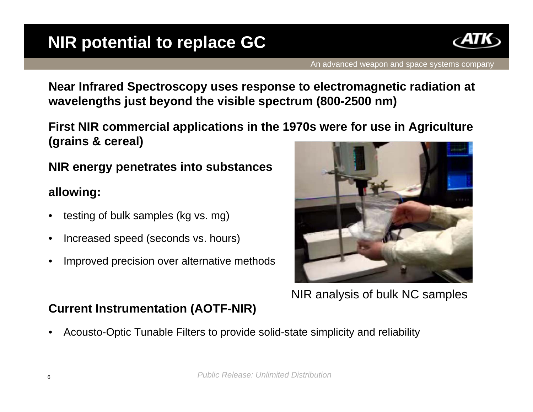

**Near Infrared Spectroscopy uses response to electromagnetic radiation at wavelengths just beyond the visible spectrum (800-2500 nm)**

**First NIR commercial applications in the 1970s were for use in Agriculture (grains & cereal)**

### **NIR energy penetrates into substances**

### **allowing:**

- testing of bulk samples (kg vs. mg)
- Increased speed (seconds vs. hours)
- Improved precision over alternative methods



NIR analysis of bulk NC samples

### **Current Instrumentation (AOTF-NIR)**

• Acousto-Optic Tunable Filters to provide solid-state simplicity and reliability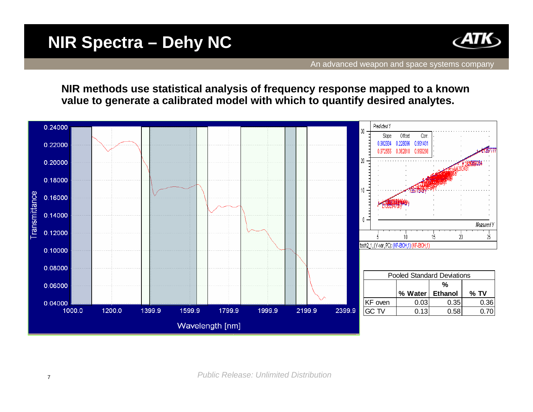## **NIR Spectra – Dehy NC**



**NIR methods use statistical analysis of frequency response mapped to a known value to generate a calibrated model with which to quantify desired analytes.** 

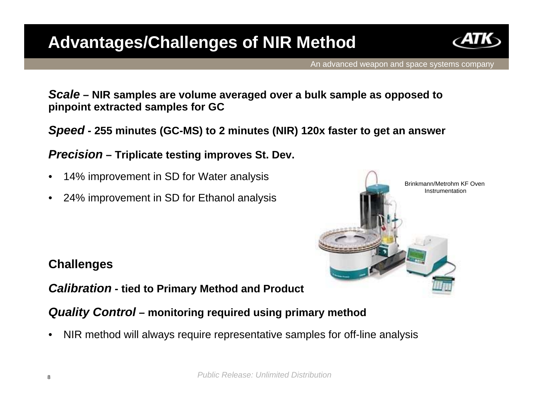# **Advantages/Challenges of NIR Method**



An advanced weapon and space systems company

*Scale* **– NIR samples are volume averaged over a bulk sample as opposed to pinpoint extracted samples for GC**

*Speed* **- 255 minutes (GC-MS) to 2 minutes (NIR) 120x faster to get an answer**

*Precision* **– Triplicate testing improves St. Dev.**

- 14% improvement in SD for Water analysis
- 24% improvement in SD for Ethanol analysis

# Brinkmann/Metrohm KF Oven Instrumentation

### **Challenges**

*Calibration* **- tied to Primary Method and Product**

### *Quality Control* **– monitoring required using primary method**

• NIR method will always require representative samples for off-line analysis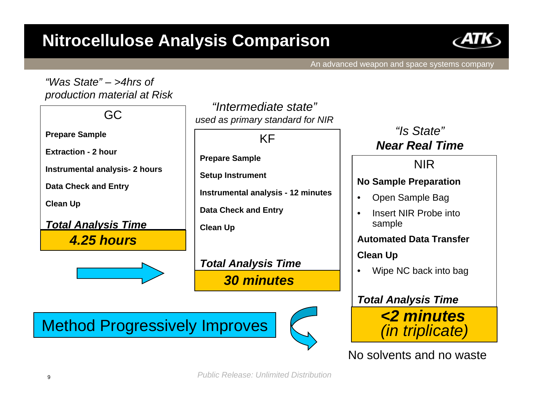# **Nitrocellulose Analysis Comparison**



An advanced weapon and space systems company

### *"Was State" – >4hrs of production material at Risk*

GC

**Prepare Sample**

**Extraction - 2 hour**

**Instrumental analysis- 2 hours**

**Data Check and Entry**

**Clean Up** 

*Total Analysis Time 4.25 hours*



*"Intermediate state"used as primary standard for NIR*

KF

**Prepare Sample**

**Setup Instrument**

**Instrumental analysis - 12 minutes**

**Data Check and Entry**

**Clean Up**

*Total Analysis Time 30 minutes*

Method Progressively Improves



*"Is State"Near Real Time*

### NIR

### **No Sample Preparation**

- Open Sample Bag
- Insert NIR Probe into sample

### **Automated Data Transfer**

### **Clean Up**

• Wipe NC back into bag

### *Total Analysis Time*



No solvents and no waste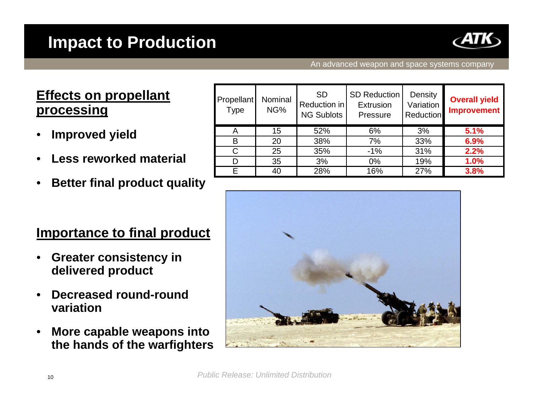

### An advanced weapon and space systems company

## **Effects on propellant processing**

- **Improved yield**
- **Less reworked material**
- **Better final product quality**

## **Importance to final product**

- **Greater consistency in delivered product**
- **Decreased round-round variation**
- **More capable weapons into the hands of the warfighters**

| <b>Propellant</b><br><b>Type</b> | Nominal<br>NG% | <b>SD</b><br>Reduction in<br><b>NG Sublots</b> | <b>SD Reduction</b><br>Extrusion<br>Pressure | Density<br>Variation<br>Reduction | <b>Overall yield</b><br><b>Improvement</b> |
|----------------------------------|----------------|------------------------------------------------|----------------------------------------------|-----------------------------------|--------------------------------------------|
| A                                | 15             | 52%                                            | 6%                                           | 3%                                | 5.1%                                       |
| в                                | 20             | 38%                                            | 7%                                           | 33%                               | 6.9%                                       |
| C                                | 25             | 35%                                            | $-1\%$                                       | 31%                               | 2.2%                                       |
| D                                | 35             | 3%                                             | $0\%$                                        | 19%                               | 1.0%                                       |
| F                                | 40             | 28%                                            | 16%                                          | 27%                               | 3.8%                                       |